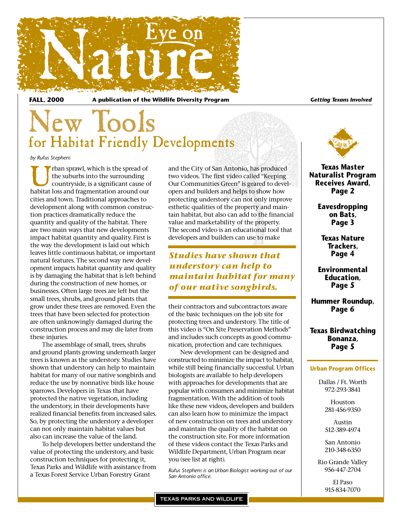

**FALL, 2000 A publication of the Wildlife Diversity Program** *Getting Texans Involved*

### New Tools for Habitat Friendly Developments

*by Rufus Stephens*

The suburbs into the surrounding<br>
countryside, is a significant cause of<br>
habitat loss and fragmentation around our the suburbs into the surrounding countryside, is a significant cause of cities and town. Traditional approaches to development along with common construction practices dramatically reduce the quantity and quality of the habitat. There are two main ways that new developments impact habitat quantity and quality. First is the way the development is laid out which leaves little continuous habitat, or important natural features. The second way new development impacts habitat quantity and quality is by damaging the habitat that is left behind during the construction of new homes, or businesses. Often large trees are left but the small trees, shrubs, and ground plants that grow under these trees are removed. Even the trees that have been selected for protection are often unknowingly damaged during the construction process and may die later from these injuries.

The assemblage of small, trees, shrubs and ground plants growing underneath larger trees is known as the understory. Studies have shown that understory can help to maintain habitat for many of our native songbirds and reduce the use by nonnative birds like house sparrows. Developers in Texas that have protected the native vegetation, including the understory, in their developments have realized financial benefits from increased sales. So, by protecting the understory a developer can not only maintain habitat values but also can increase the value of the land.

To help developers better understand the value of protecting the understory, and basic construction techniques for protecting it, Texas Parks and Wildlife with assistance from a Texas Forest Service Urban Forestry Grant

and the City of San Antonio, has produced two videos. The first video called "Keeping Our Communities Green" is geared to developers and builders and helps to show how protecting understory can not only improve esthetic qualities of the property and maintain habitat, but also can add to the financial value and marketability of the property. The second video is an educational tool that developers and builders can use to make

### *Studies have shown that understory can help to maintain habitat for many of our native songbirds.*

their contractors and subcontractors aware of the basic techniques on the job site for protecting trees and understory. The title of this video is "On Site Preservation Methods" and includes such concepts as good communication, protection and care techniques.

New development can be designed and constructed to minimize the impact to habitat, while still being financially successful. Urban biologists are available to help developers with approaches for developments that are popular with consumers and minimize habitat fragmentation. With the addition of tools like these new videos, developers and builders can also learn how to minimize the impact of new construction on trees and understory and maintain the quality of the habitat on the construction site. For more information of these videos contact the Texas Parks and Wildlife Department, Urban Program near you (see list at right).

*Rufus Stephens is an Urban Biologist working out of our San Antonio office.*



**Texas Master Naturalist Program Receives Award, Page 2**

> **Eavesdropping on Bats, Page 3**

**Texas Nature Trackers, Page 4**

**Environmental Education, Page 5**

**Hummer Roundup, Page 6**

**Texas Birdwatching Bonanza, Page 5**

#### **Urban Program Offices**

Dallas / Ft. Worth 972-293-3841

> Houston 281-456-9350

Austin 512-389-4974

San Antonio 210-348-6350

Rio Grande Valley 956-447-2704

> El Paso 915-834-7070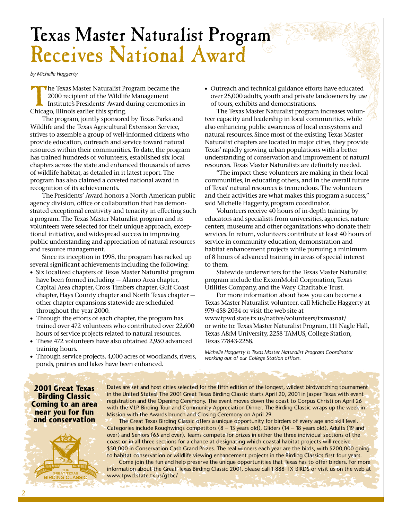### Texas Master Naturalist Program Receives National Award

*by Michelle Haggerty*

The Texas Master Naturalist Program became the 2000 recipient of the Wildlife Management Institute's Presidents' Award during ceremonies in Chicago, Illinois earlier this spring.

The program, jointly sponsored by Texas Parks and Wildlife and the Texas Agricultural Extension Service, strives to assemble a group of well-informed citizens who provide education, outreach and service toward natural resources within their communities. To date, the program has trained hundreds of volunteers, established six local chapters across the state and enhanced thousands of acres of wildlife habitat, as detailed in it latest report. The program has also claimed a coveted national award in recognition of its achievements.

The Presidents' Award honors a North American public agency division, office or collaboration that has demonstrated exceptional creativity and tenacity in effecting such a program. The Texas Master Naturalist program and its volunteers were selected for their unique approach, exceptional initiative, and widespread success in improving public understanding and appreciation of natural resources and resource management.

Since its inception in 1998, the program has racked up several significant achievements including the following:

- Six localized chapters of Texas Master Naturalist program have been formed including — Alamo Area chapter, Capital Area chapter, Cross Timbers chapter, Gulf Coast chapter, Hays County chapter and North Texas chapter other chapter expansions statewide are scheduled throughout the year 2000.
- Through the efforts of each chapter, the program has trained over 472 volunteers who contributed over 22,600 hours of service projects related to natural resources.
- These 472 volunteers have also obtained 2,950 advanced training hours.
- Through service projects, 4,000 acres of woodlands, rivers, ponds, prairies and lakes have been enhanced.

المحافظة والمعارض والمستردة

• Outreach and technical guidance efforts have educated over 25,000 adults, youth and private landowners by use of tours, exhibits and demonstrations.

The Texas Master Naturalist program increases volunteer capacity and leadership in local communities, while also enhancing public awareness of local ecosystems and natural resources. Since most of the existing Texas Master Naturalist chapters are located in major cities, they provide Texas' rapidly growing urban populations with a better understanding of conservation and improvement of natural resources. Texas Master Naturalists are definitely needed.

"The impact these volunteers are making in their local communities, in educating others, and in the overall future of Texas' natural resources is tremendous. The volunteers and their activities are what makes this program a success," said Michelle Haggerty, program coordinator.

Volunteers receive 40 hours of in-depth training by educators and specialists from universities, agencies, nature centers, museums and other organizations who donate their services. In return, volunteers contribute at least 40 hours of service in community education, demonstration and habitat enhancement projects while pursuing a minimum of 8 hours of advanced training in areas of special interest to them.

Statewide underwriters for the Texas Master Naturalist program include the ExxonMobil Corporation, Texas Utilities Company, and the Wary Charitable Trust.

For more information about how you can become a Texas Master Naturalist volunteer, call Michelle Haggerty at 979-458-2034 or visit the web site at www.tpwd.state.tx.us/native/volunteers/txmasnat/ or write to: Texas Master Naturalist Program, 111 Nagle Hall, Texas A&M University, 2258 TAMUS, College Station, Texas 77843-2258.

*Michelle Haggerty is Texas Master Naturalist Program Coordinator working out of our College Station offices.*

**2001 Great Texas Birding Classic Coming to an area near you for fun and conservation**

Dates are set and host cities selected for the fifth edition of the longest, wildest birdwatching tournament in the United States! The 2001 Great Texas Birding Classic starts April 20, 2001 in Jasper Texas with event registration and the Opening Ceremony. The event moves down the coast to Corpus Christi on April 26 with the V.I.P. Birding Tour and Community Appreciation Dinner. The Birding Classic wraps up the week in Mission with the Awards brunch and Closing Ceremony on April 29.

The Great Texas Birding Classic offers a unique opportunity for birders of every age and skill level. Categories include Roughwings competitors (8 – 13 years old), Gliders (14 – 18 years old), Adults (19 and over) and Seniors (65 and over). Teams compete for prizes in either the three individual sections of the coast or in all three sections for a chance at designating which coastal habitat projects will receive \$50,000 in Conservation Cash Grand Prizes. The real winners each year are the birds, with \$200,000 going to habitat conservation or wildlife viewing enhancement projects in the Birding Classics first four years.

Come join the fun and help preserve the unique opportunities that Texas has to offer birders. For more information about the Great Texas Birding Classic 2001, please call 1-888-TX-BIRDS or visit us on the web at www.tpwd.state.tx.us/gtbc/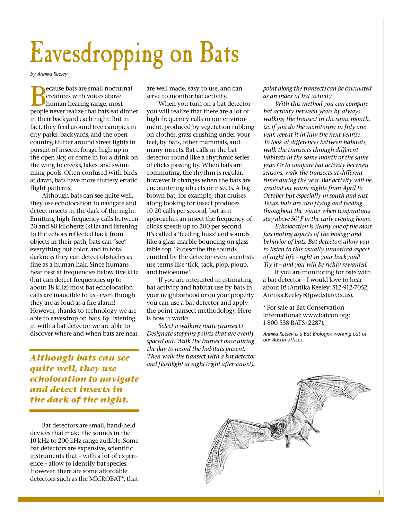# Eavesdropping on Bats

*by Annika Keeley*

**Because bats are small nocturnal**<br>creatures with voices above<br>human hearing range, most<br>people never realize that bats eat dinner creatures with voices above human hearing range, most in their backyard each night. But in fact, they feed around tree canopies in city parks, backyards, and the open country, flutter around street lights in pursuit of insects, forage high up in the open sky, or come in for a drink on the wing to creeks, lakes, and swimming pools. Often confused with birds at dawn, bats have more fluttery, erratic flight patterns.

Although bats can see quite well, they use echolocation to navigate and detect insects in the dark of the night. Emitting high-frequency calls between 20 and 80 kilohertz (kHz) and listening to the echoes reflected back from objects in their path, bats can "see" everything but color, and in total darkness they can detect obstacles as fine as a human hair. Since humans hear best at frequencies below five kHz (but can detect frequencies up to about 18 kHz) most bat echolocation calls are inaudible to us - even though they are as loud as a fire alarm! However, thanks to technology we are able to eavesdrop on bats. By listening in with a bat detector we are able to discover where and when bats are near.

*Although bats can see quite well, they use echolocation to navigate and detect insects in the dark of the night.* 

Bat detectors are small, hand-held devices that make the sounds in the 10 kHz to 200 kHz range audible. Some bat detectors are expensive, scientific instruments that – with a lot of experience – allow to identify bat species. However, there are some affordable detectors such as the MICROBAT\*, that

are well made, easy to use, and can serve to monitor bat activity.

When you turn on a bat detector you will realize that there are a lot of high frequency calls in our environment, produced by vegetation rubbing on clothes, grass crushing under your feet, by bats, other mammals, and many insects. Bat calls in the bat detector sound like a rhythmic series of clicks passing by. When bats are commuting, the rhythm is regular, however it changes when the bats are encountering objects or insects. A big brown bat, for example, that cruises along looking for insect produces 10-20 calls per second, but as it approaches an insect the frequency of clicks speeds up to 200 per second. It's called a 'feeding buzz' and sounds like a glass marble bouncing on glass table top. To describe the sounds emitted by the detector even scientists use terms like 'tick, tack, pjop, pjoup, and bwioeuuw'.

If you are interested in estimating bat activity and habitat use by bats in your neighborhood or on your property you can use a bat detector and apply the point transect methodology. Here is how it works:

*Select a walking route (transect). Designate stopping points that are evenly spaced out. Walk the transect once during the day to record the habitats present. Then walk the transect with a bat detector and flashlight at night (right after sunset).*

*point along the transect) can be calculated as an index of bat activity.* 

*With this method you can compare bat activity between years by always walking the transect in the same month, i.e. if you do the monitoring in July one year, repeat it in July the next year(s). To look at differences between habitats, walk the transects through different habitats in the same month of the same year. Or to compare bat activity between seasons,walk the transects at different times during the year. Bat activity will be greatest on warm nights from April to October but especially in south and east Texas, bats are also flying and feeding throughout the winter when temperatures stay above 50° F in the early evening hours.* 

*Echolocation is clearly one of the most fascinating aspects of the biology and behavior of bats. Bat detectors allow you to listen to this usually unnoticed aspect of night life – right in your backyard! Try it – and you will be richly rewarded.*

If you are monitoring for bats with a bat detector – I would love to hear about it! (Annika Keeley: 512-912-7052; Annika.Keeley@tpwd.state.tx.us).

\* For sale at Bat Conservation International: www.batcon.org; 1-800-538-BATS (2287).

*Annika Keeley is a Bat Biologist working out of our Austin offices.*

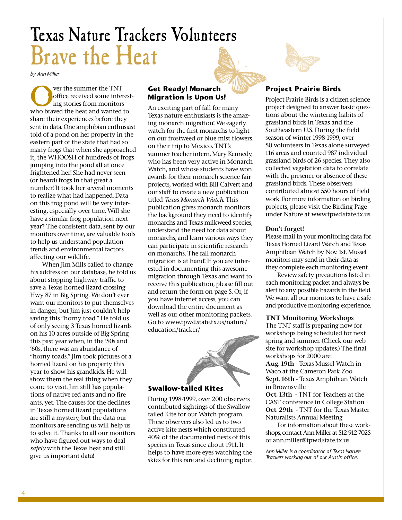# Texas Nature Trackers Volunteers Brave the Heat

*by Ann Miller*

**Over the summer the TNT**<br>office received some interes<br>ing stories from monitors<br>who braved the heat and wanted to office received some interesting stories from monitors share their experiences before they sent in data. One amphibian enthusiast told of a pond on her property in the eastern part of the state that had so many frogs that when she approached it, the WHOOSH of hundreds of frogs jumping into the pond all at once frightened her! She had never seen (or heard) frogs in that great a number! It took her several moments to realize what had happened. Data on this frog pond will be very interesting, especially over time. Will she have a similar frog population next year? The consistent data, sent by our monitors over time, are valuable tools to help us understand population trends and environmental factors affecting our wildlife.

When Jim Mills called to change his address on our database, he told us about stopping highway traffic to save a Texas horned lizard crossing Hwy 87 in Big Spring. We don't ever want our monitors to put themselves in danger, but Jim just couldn't help saving this "horny toad." He told us of only seeing 3 Texas horned lizards on his 10 acres outside of Big Spring this past year when, in the '50s and '60s, there was an abundance of "horny toads." Jim took pictures of a horned lizard on his property this year to show his grandkids. He will show them the real thing when they come to visit. Jim still has populations of native red ants and no fire ants, yet. The causes for the declines in Texas horned lizard populations are still a mystery, but the data our monitors are sending us will help us to solve it. Thanks to all our monitors who have figured out ways to deal *safely* with the Texas heat and still give us important data!

### **Get Ready! Monarch Migration is Upon Us!**

An exciting part of fall for many Texas nature enthusiasts is the amazing monarch migration! We eagerly watch for the first monarchs to light on our frostweed or blue mist flowers on their trip to Mexico. TNT's summer teacher intern, Mary Kennedy, who has been very active in Monarch Watch, and whose students have won awards for their monarch science fair projects, worked with Bill Calvert and our staff to create a new publication titled *Texas Monarch Watch*. This publication gives monarch monitors the background they need to identify monarchs and Texas milkweed species, understand the need for data about monarchs, and learn various ways they can participate in scientific research on monarchs. The fall monarch migration is at hand! If you are interested in documenting this awesome migration through Texas and want to receive this publication, please fill out and return the form on page 5. Or, if you have internet access, you can download the entire document as well as our other monitoring packets. Go to www.tpwd.state.tx.us/nature/ education/tracker/



### **Swallow-tailed Kites**

During 1998-1999, over 200 observers contributed sightings of the Swallowtailed Kite for our Watch program. These observers also led us to two active kite nests which constituted 40% of the documented nests of this species in Texas since about 1911. It helps to have more eyes watching the skies for this rare and declining raptor.

### **Project Prairie Birds**

Project Prairie Birds is a citizen science project designed to answer basic questions about the wintering habits of grassland birds in Texas and the Southeastern U.S. During the field season of winter 1998-1999, over 50 volunteers in Texas alone surveyed 116 areas and counted 987 individual grassland birds of 26 species. They also collected vegetation data to correlate with the presence or absence of these grassland birds. These observers contributed almost 550 hours of field work. For more information on birding projects, please visit the Birding Page under Nature at www.tpwd.state.tx.us

### **Don't forget!**

Please mail in your monitoring data for Texas Horned Lizard Watch and Texas Amphibian Watch by Nov. 1st. Mussel monitors may send in their data as they complete each monitoring event.

Review safety precautions listed in each monitoring packet and always be alert to any possible hazards in the field. We want all our monitors to have a safe and productive monitoring experience.

### **TNT Monitoring Workshops**

The TNT staff is preparing now for workshops being scheduled for next spring and summer. (Check our web site for workshop updates.) The final workshops for 2000 are: **Aug. 19th -** Texas Mussel Watch in Waco at the Cameron Park Zoo **Sept. 16th -** Texas Amphibian Watch in Brownsville

**Oct. 13th -** TNT for Teachers at the CAST conference in College Station **Oct. 29th -** TNT for the Texas Master Naturalists Annual Meeting

For information about these workshops, contact Ann Miller at 512-912-7025 or ann.miller@tpwd.state.tx.us

*Ann Miller is a coordinator of Texas Nature Trackers working out of our Austin office.*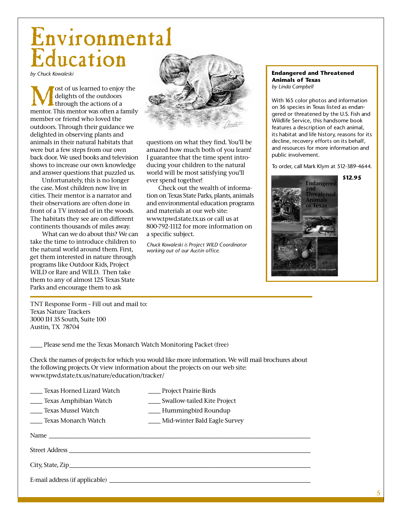### Environmental Education

*by Chuck Kowaleski*

**M** ost of us learned to enjoy the<br>delights of the outdoors<br>through the actions of a<br>mentor. This mentor was often a family delights of the outdoors through the actions of a member or friend who loved the outdoors. Through their guidance we delighted in observing plants and animals in their natural habitats that were but a few steps from our own back door. We used books and television shows to increase our own knowledge and answer questions that puzzled us.

Unfortunately, this is no longer the case. Most children now live in cities. Their mentor is a narrator and their observations are often done in front of a TV instead of in the woods. The habitats they see are on different continents thousands of miles away.

What can we do about this? We can take the time to introduce children to the natural world around them. First, get them interested in nature through programs like Outdoor Kids, Project WILD or Rare and WILD. Then take them to any of almost 125 Texas State Parks and encourage them to ask



questions on what they find. You'll be amazed how much both of you learn! I guarantee that the time spent introducing your children to the natural world will be most satisfying you'll ever spend together!

Check out the wealth of information on Texas State Parks, plants, animals and environmental education programs and materials at our web site: www.tpwd.state.tx.us or call us at 800-792-1112 for more information on a specific subject.

*Chuck Kowaleski is Project WILD Coordinator working out of our Austin office.*

#### **Endangered and Threatened Animals of Texas** *by Linda Campbell*

With 165 color photos and information on 36 species in Texas listed as endangered or threatened by the U.S. Fish and Wildlife Service, this handsome book features a description of each animal, its habitat and life history, reasons for its decline, recovery efforts on its behalf, and resources for more information and public involvement.

To order, call Mark Klym at 512-389-4644.



TNT Response Form – Fill out and mail to: Texas Nature Trackers 3000 IH 35 South, Suite 100 Austin, TX 78704

Please send me the Texas Monarch Watch Monitoring Packet (free)

Check the names of projects for which you would like more information. We will mail brochures about the following projects. Or view information about the projects on our web site: www.tpwd.state.tx.us/nature/education/tracker/

- \_\_\_ Texas Amphibian Watch \_\_\_ Swallow-tailed Kite Project
- \_\_\_ Texas Mussel Watch \_\_\_ Hummingbird Roundup
- \_\_\_ Texas Monarch Watch \_\_\_ Mid-winter Bald Eagle Survey

Name \_\_\_\_\_\_\_\_\_\_\_\_\_\_\_\_\_\_\_\_\_\_\_\_\_\_\_\_\_\_\_\_\_\_\_\_\_\_\_\_\_\_\_\_\_\_\_\_\_\_\_\_\_\_\_\_\_\_\_\_\_\_\_\_\_

Street Address \_\_\_\_\_\_\_\_\_\_\_\_\_\_\_\_\_\_\_\_\_\_\_\_\_\_\_\_\_\_\_\_\_\_\_\_\_\_\_\_\_\_\_\_\_\_\_\_\_\_\_\_\_\_\_\_\_\_\_\_

City, State, Zip\_\_\_\_\_\_\_\_\_\_\_\_\_\_\_\_\_\_\_\_\_\_\_\_\_\_\_\_\_\_\_\_\_\_\_\_\_\_\_\_\_\_\_\_\_\_\_\_\_\_\_\_\_\_\_\_\_\_\_\_

E-mail address (if applicable) \_\_\_\_\_\_\_\_\_\_\_\_\_\_\_\_\_\_\_\_\_\_\_\_\_\_\_\_\_\_\_\_\_\_\_\_\_\_\_\_\_\_\_\_\_\_\_\_\_\_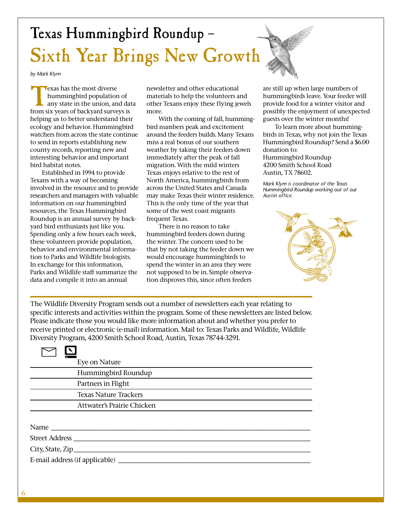# Texas Hummingbird Roundup – Sixth Year Brings New Growth

*by Mark Klym*

**Texas has the most diverse<br>
hummingbird population of<br>
any state in the union, and da<br>
from six years of backyard surveys is** hummingbird population of any state in the union, and data helping us to better understand their ecology and behavior. Hummingbird watchers from across the state continue to send in reports establishing new county records, reporting new and interesting behavior and important bird habitat notes.

Established in 1994 to provide Texans with a way of becoming involved in the resource and to provide researchers and managers with valuable information on our hummingbird resources, the Texas Hummingbird Roundup is an annual survey by backyard bird enthusiasts just like you. Spending only a few hours each week, these volunteers provide population, behavior and environmental information to Parks and Wildlife biologists. In exchange for this information, Parks and Wildlife staff summarize the data and compile it into an annual

newsletter and other educational materials to help the volunteers and other Texans enjoy these flying jewels more.

With the coming of fall, hummingbird numbers peak and excitement around the feeders builds. Many Texans miss a real bonus of our southern weather by taking their feeders down immediately after the peak of fall migration. With the mild winters Texas enjoys relative to the rest of North America, hummingbirds from across the United States and Canada may make Texas their winter residence. This is the only time of the year that some of the west coast migrants frequent Texas.

There is no reason to take hummingbird feeders down during the winter. The concern used to be that by not taking the feeder down we would encourage hummingbirds to spend the winter in an area they were not supposed to be in. Simple observation disproves this, since often feeders

are still up when large numbers of hummingbirds leave. Your feeder will provide food for a winter visitor and possibly the enjoyment of unexpected guests over the winter months!

To learn more about hummingbirds in Texas, why not join the Texas Hummingbird Roundup? Send a \$6.00 donation to: Hummingbird Roundup 4200 Smith School Road Austin, TX 78602.

*Mark Klym is coordinator of the Texas Hummingbird Roundup working out of our Austin office.*



The Wildlife Diversity Program sends out a number of newsletters each year relating to specific interests and activities within the program. Some of these newsletters are listed below. Please indicate those you would like more information about and whether you prefer to receive printed or electronic (e-mail) information. Mail to: Texas Parks and Wildlife, Wildlife Diversity Program, 4200 Smith School Road, Austin, Texas 78744-3291.

| Eye on Nature                  |
|--------------------------------|
| Hummingbird Roundup            |
| Partners in Flight             |
| <b>Texas Nature Trackers</b>   |
| Attwater's Prairie Chicken     |
|                                |
|                                |
|                                |
|                                |
| E-mail address (if applicable) |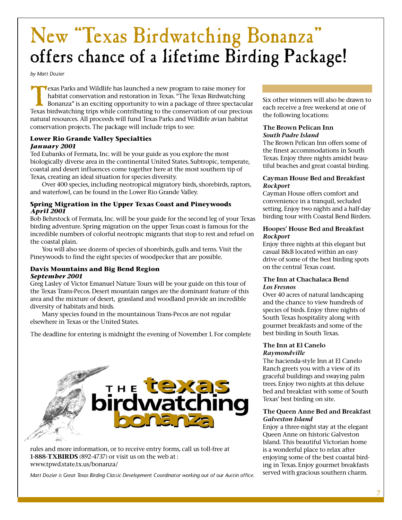### New "Texas Birdwatching Bonanza" offers chance of a lifetime Birding Package!

*by Matt Dozier*

Texas Parks and Wildlife has launched a new program to raise money for habitat conservation and restoration in Texas. "The Texas Birdwatching Bonanza" is an exciting opportunity to win a package of three spectacus<br>Texas bi habitat conservation and restoration in Texas. "The Texas Birdwatching Bonanza" is an exciting opportunity to win a package of three spectacular Texas birdwatching trips while contributing to the conservation of our precious natural resources. All proceeds will fund Texas Parks and Wildlife avian habitat conservation projects. The package will include trips to see:

### **Lower Rio Grande Valley Specialties** *January 2001*

Ted Eubanks of Fermata, Inc. will be your guide as you explore the most biologically diverse area in the continental United States. Subtropic, temperate, coastal and desert influences come together here at the most southern tip of Texas, creating an ideal situation for species diversity.

Over 400 species, including neotropical migratory birds, shorebirds, raptors, and waterfowl, can be found in the Lower Rio Grande Valley.

### **Spring Migration in the Upper Texas Coast and Pineywoods**  *April 2001*

Bob Behrstock of Fermata, Inc. will be your guide for the second leg of your Texas birding adventure. Spring migration on the upper Texas coast is famous for the incredible numbers of colorful neotropic migrants that stop to rest and refuel on the coastal plain.

You will also see dozens of species of shorebirds, gulls and terns. Visit the Pineywoods to find the eight species of woodpecker that are possible.

### **Davis Mountains and Big Bend Region** *September 2001*

Greg Lasley of Victor Emanuel Nature Tours will be your guide on this tour of the Texas Trans-Pecos. Desert mountain ranges are the dominant feature of this area and the mixture of desert, grassland and woodland provide an incredible diversity of habitats and birds.

Many species found in the mountainous Trans-Pecos are not regular elsewhere in Texas or the United States.

The deadline for entering is midnight the evening of November 1. For complete



rules and more information, or to receive entry forms, call us toll-free at **1-888-TXBIRDS** (892-4737) or visit us on the web at : www.tpwd.state.tx.us/bonanza/

*Matt Dozier is Great Texas Birding Classic Development Coordinator working out of our Austin office.*

Six other winners will also be drawn to each receive a free weekend at one of the following locations:

#### **The Brown Pelican Inn**  *South Padre Island*

The Brown Pelican Inn offers some of the finest accommodations in South Texas. Enjoy three nights amidst beautiful beaches and great coastal birding.

### **Cayman House Bed and Breakfast** *Rockport*

Cayman House offers comfort and convenience in a tranquil, secluded setting. Enjoy two nights and a half-day birding tour with Coastal Bend Birders.

### **Hoopes' House Bed and Breakfast** *Rockport*

Enjoy three nights at this elegant but casual B&B located within an easy drive of some of the best birding spots on the central Texas coast.

### **The Inn at Chachalaca Bend** *Los Fresnos*

Over 40 acres of natural landscaping and the chance to view hundreds of species of birds. Enjoy three nights of South Texas hospitality along with gourmet breakfasts and some of the best birding in South Texas.

### **The Inn at El Canelo** *Raymondville*

The hacienda-style Inn at El Canelo Ranch greets you with a view of its graceful buildings and swaying palm trees. Enjoy two nights at this deluxe bed and breakfast with some of South Texas' best birding on site.

### **The Queen Anne Bed and Breakfast**  *Galveston Island*

Enjoy a three-night stay at the elegant Queen Anne on historic Galveston Island. This beautiful Victorian home is a wonderful place to relax after enjoying some of the best coastal birding in Texas. Enjoy gourmet breakfasts served with gracious southern charm.